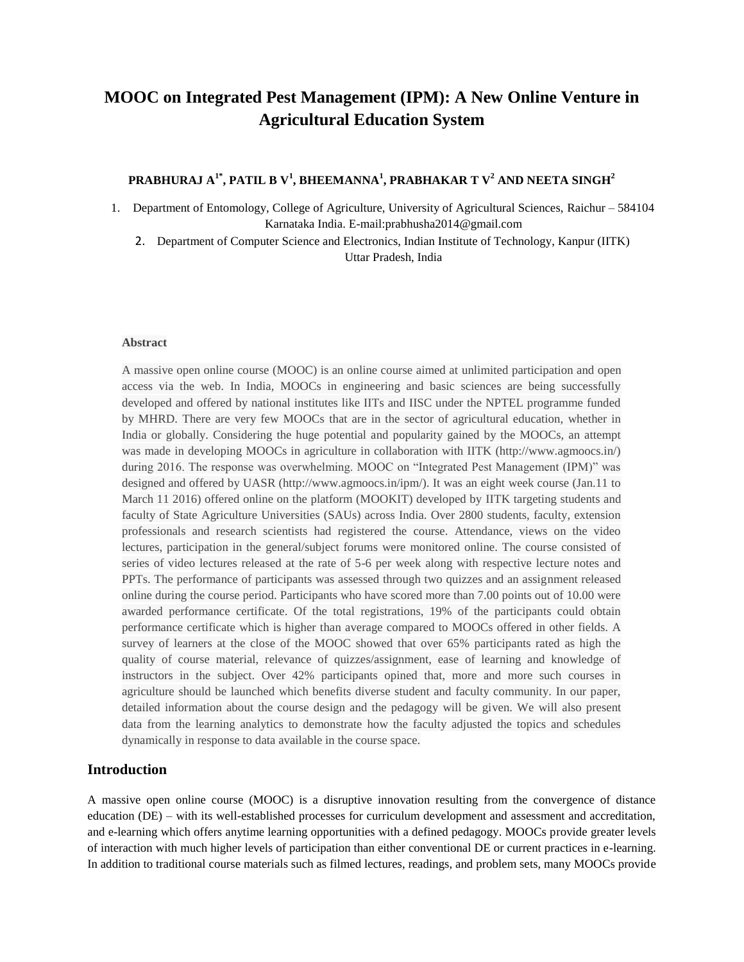# **MOOC on Integrated Pest Management (IPM): A New Online Venture in Agricultural Education System**

## **PRABHURAJ A1\*, PATIL B V<sup>1</sup> , BHEEMANNA<sup>1</sup> , PRABHAKAR T V<sup>2</sup> AND NEETA SINGH<sup>2</sup>**

1. Department of Entomology, College of Agriculture, University of Agricultural Sciences, Raichur – 584104 Karnataka India. E-mail:prabhusha2014@gmail.com

2. Department of Computer Science and Electronics, Indian Institute of Technology, Kanpur (IITK) Uttar Pradesh, India

### **Abstract**

A massive open online course (MOOC) is an online course aimed at unlimited participation and open access via the web. In India, MOOCs in engineering and basic sciences are being successfully developed and offered by national institutes like IITs and IISC under the NPTEL programme funded by MHRD. There are very few MOOCs that are in the sector of agricultural education, whether in India or globally. Considering the huge potential and popularity gained by the MOOCs, an attempt was made in developing MOOCs in agriculture in collaboration with IITK (http://www.agmoocs.in/) during 2016. The response was overwhelming. MOOC on "Integrated Pest Management (IPM)" was designed and offered by UASR (http://www.agmoocs.in/ipm/). It was an eight week course (Jan.11 to March 11 2016) offered online on the platform (MOOKIT) developed by IITK targeting students and faculty of State Agriculture Universities (SAUs) across India. Over 2800 students, faculty, extension professionals and research scientists had registered the course. Attendance, views on the video lectures, participation in the general/subject forums were monitored online. The course consisted of series of video lectures released at the rate of 5-6 per week along with respective lecture notes and PPTs. The performance of participants was assessed through two quizzes and an assignment released online during the course period. Participants who have scored more than 7.00 points out of 10.00 were awarded performance certificate. Of the total registrations, 19% of the participants could obtain performance certificate which is higher than average compared to MOOCs offered in other fields. A survey of learners at the close of the MOOC showed that over 65% participants rated as high the quality of course material, relevance of quizzes/assignment, ease of learning and knowledge of instructors in the subject. Over 42% participants opined that, more and more such courses in agriculture should be launched which benefits diverse student and faculty community. In our paper, detailed information about the course design and the pedagogy will be given. We will also present data from the learning analytics to demonstrate how the faculty adjusted the topics and schedules dynamically in response to data available in the course space.

## **Introduction**

A massive open online course (MOOC) is a disruptive innovation resulting from the convergence of distance education (DE) – with its well-established processes for curriculum development and assessment and accreditation, and e-learning which offers anytime learning opportunities with a defined pedagogy. MOOCs provide greater levels of interaction with much higher levels of participation than either conventional DE or current practices in e-learning. In addition to traditional course materials such as filmed lectures, readings, and problem sets, many MOOCs provide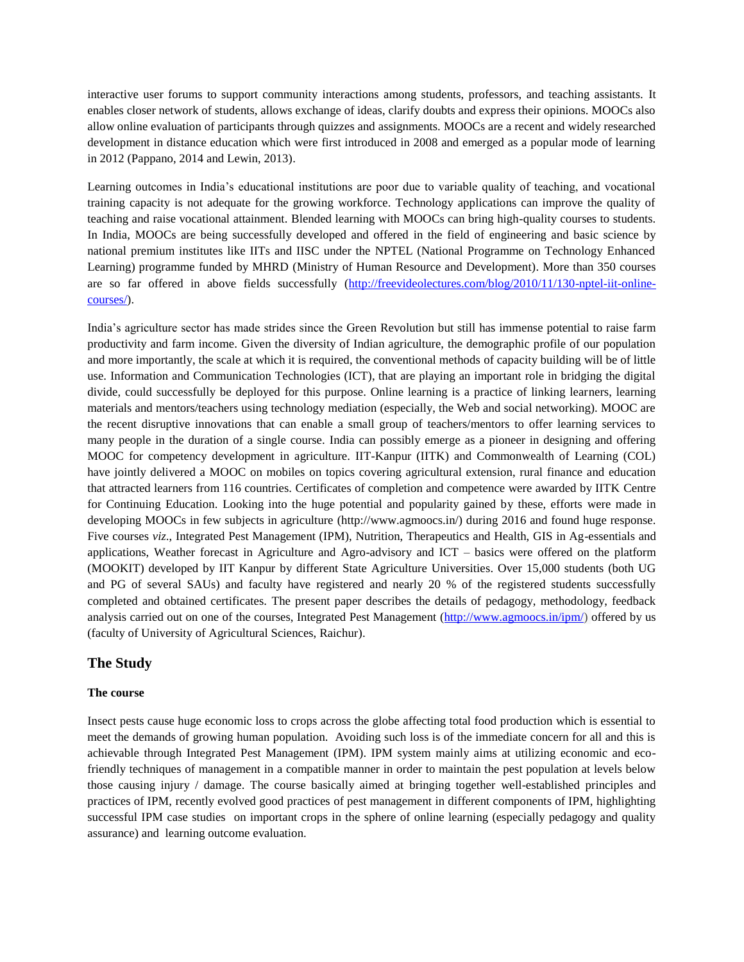interactive user forums to support community interactions among students, professors, and teaching assistants. It enables closer network of students, allows exchange of ideas, clarify doubts and express their opinions. MOOCs also allow online evaluation of participants through quizzes and assignments. MOOCs are a recent and widely researched development in distance education which were first introduced in 2008 and emerged as a popular mode of learning in 2012 (Pappano, 2014 and Lewin, 2013).

Learning outcomes in India's educational institutions are poor due to variable quality of teaching, and vocational training capacity is not adequate for the growing workforce. Technology applications can improve the quality of teaching and raise vocational attainment. Blended learning with MOOCs can bring high-quality courses to students. In India, MOOCs are being successfully developed and offered in the field of engineering and basic science by national premium institutes like IITs and IISC under the NPTEL (National Programme on Technology Enhanced Learning) programme funded by MHRD (Ministry of Human Resource and Development). More than 350 courses are so far offered in above fields successfully [\(http://freevideolectures.com/blog/2010/11/130-nptel-iit-online](http://freevideolectures.com/blog/2010/11/130-nptel-iit-online-courses/)[courses/\)](http://freevideolectures.com/blog/2010/11/130-nptel-iit-online-courses/).

India's agriculture sector has made strides since the Green Revolution but still has immense potential to raise farm productivity and farm income. Given the diversity of Indian agriculture, the demographic profile of our population and more importantly, the scale at which it is required, the conventional methods of capacity building will be of little use. Information and Communication Technologies (ICT), that are playing an important role in bridging the digital divide, could successfully be deployed for this purpose. Online learning is a practice of linking learners, learning materials and mentors/teachers using technology mediation (especially, the Web and social networking). MOOC are the recent disruptive innovations that can enable a small group of teachers/mentors to offer learning services to many people in the duration of a single course. India can possibly emerge as a pioneer in designing and offering MOOC for competency development in agriculture. IIT-Kanpur (IITK) and Commonwealth of Learning (COL) have jointly delivered a MOOC on mobiles on topics covering agricultural extension, rural finance and education that attracted learners from 116 countries. Certificates of completion and competence were awarded by IITK Centre for Continuing Education. Looking into the huge potential and popularity gained by these, efforts were made in developing MOOCs in few subjects in agriculture (http://www.agmoocs.in/) during 2016 and found huge response. Five courses *viz.*, Integrated Pest Management (IPM), Nutrition, Therapeutics and Health, GIS in Ag-essentials and applications, Weather forecast in Agriculture and Agro-advisory and ICT – basics were offered on the platform (MOOKIT) developed by IIT Kanpur by different State Agriculture Universities. Over 15,000 students (both UG and PG of several SAUs) and faculty have registered and nearly 20 % of the registered students successfully completed and obtained certificates. The present paper describes the details of pedagogy, methodology, feedback analysis carried out on one of the courses, Integrated Pest Management [\(http://www.agmoocs.in/ipm/\)](http://www.agmoocs.in/ipm/) offered by us (faculty of University of Agricultural Sciences, Raichur).

## **The Study**

### **The course**

Insect pests cause huge economic loss to crops across the globe affecting total food production which is essential to meet the demands of growing human population. Avoiding such loss is of the immediate concern for all and this is achievable through Integrated Pest Management (IPM). IPM system mainly aims at utilizing economic and ecofriendly techniques of management in a compatible manner in order to maintain the pest population at levels below those causing injury / damage. The course basically aimed at bringing together well-established principles and practices of IPM, recently evolved good practices of pest management in different components of IPM, highlighting successful IPM case studies on important crops in the sphere of online learning (especially pedagogy and quality assurance) and learning outcome evaluation.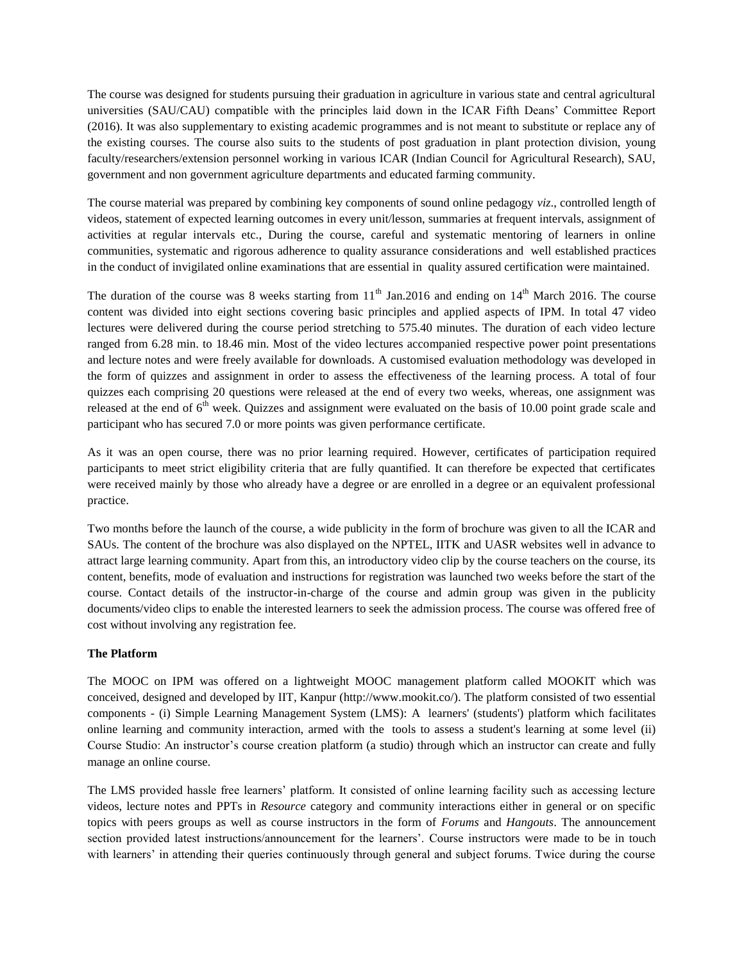The course was designed for students pursuing their graduation in agriculture in various state and central agricultural universities (SAU/CAU) compatible with the principles laid down in the ICAR Fifth Deans' Committee Report (2016). It was also supplementary to existing academic programmes and is not meant to substitute or replace any of the existing courses. The course also suits to the students of post graduation in plant protection division, young faculty/researchers/extension personnel working in various ICAR (Indian Council for Agricultural Research), SAU, government and non government agriculture departments and educated farming community.

The course material was prepared by combining key components of sound online pedagogy *viz*., controlled length of videos, statement of expected learning outcomes in every unit/lesson, summaries at frequent intervals, assignment of activities at regular intervals etc., During the course, careful and systematic mentoring of learners in online communities, systematic and rigorous adherence to quality assurance considerations and well established practices in the conduct of invigilated online examinations that are essential in quality assured certification were maintained.

The duration of the course was 8 weeks starting from  $11<sup>th</sup>$  Jan.2016 and ending on  $14<sup>th</sup>$  March 2016. The course content was divided into eight sections covering basic principles and applied aspects of IPM. In total 47 video lectures were delivered during the course period stretching to 575.40 minutes. The duration of each video lecture ranged from 6.28 min. to 18.46 min. Most of the video lectures accompanied respective power point presentations and lecture notes and were freely available for downloads. A customised evaluation methodology was developed in the form of quizzes and assignment in order to assess the effectiveness of the learning process. A total of four quizzes each comprising 20 questions were released at the end of every two weeks, whereas, one assignment was released at the end of  $6<sup>th</sup>$  week. Quizzes and assignment were evaluated on the basis of 10.00 point grade scale and participant who has secured 7.0 or more points was given performance certificate.

As it was an open course, there was no prior learning required. However, certificates of participation required participants to meet strict eligibility criteria that are fully quantified. It can therefore be expected that certificates were received mainly by those who already have a degree or are enrolled in a degree or an equivalent professional practice.

Two months before the launch of the course, a wide publicity in the form of brochure was given to all the ICAR and SAUs. The content of the brochure was also displayed on the NPTEL, IITK and UASR websites well in advance to attract large learning community. Apart from this, an introductory video clip by the course teachers on the course, its content, benefits, mode of evaluation and instructions for registration was launched two weeks before the start of the course. Contact details of the instructor-in-charge of the course and admin group was given in the publicity documents/video clips to enable the interested learners to seek the admission process. The course was offered free of cost without involving any registration fee.

## **The Platform**

The MOOC on IPM was offered on a lightweight MOOC management platform called MOOKIT which was conceived, designed and developed by IIT, Kanpur (http://www.mookit.co/). The platform consisted of two essential components - (i) Simple Learning Management System (LMS): A learners' (students') platform which facilitates online learning and community interaction, armed with the tools to assess a student's learning at some level (ii) Course Studio: An instructor's course creation platform (a studio) through which an instructor can create and fully manage an online course.

The LMS provided hassle free learners' platform. It consisted of online learning facility such as accessing lecture videos, lecture notes and PPTs in *Resource* category and community interactions either in general or on specific topics with peers groups as well as course instructors in the form of *Forums* and *Hangouts*. The announcement section provided latest instructions/announcement for the learners'. Course instructors were made to be in touch with learners' in attending their queries continuously through general and subject forums. Twice during the course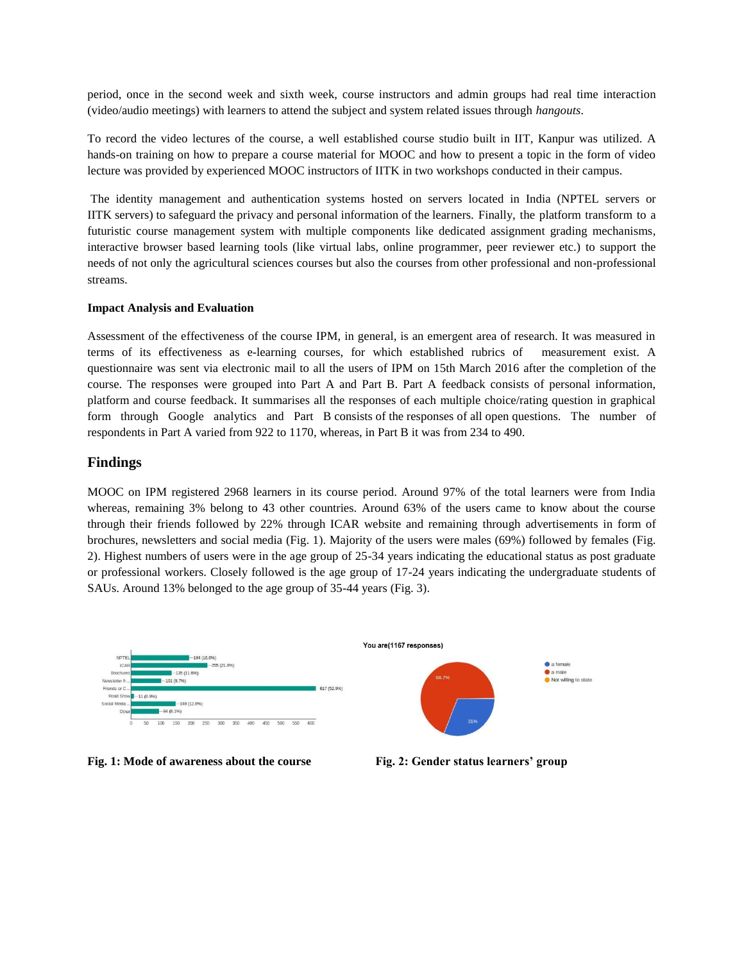period, once in the second week and sixth week, course instructors and admin groups had real time interaction (video/audio meetings) with learners to attend the subject and system related issues through *hangouts*.

To record the video lectures of the course, a well established course studio built in IIT, Kanpur was utilized. A hands-on training on how to prepare a course material for MOOC and how to present a topic in the form of video lecture was provided by experienced MOOC instructors of IITK in two workshops conducted in their campus.

The identity management and authentication systems hosted on servers located in India (NPTEL servers or IITK servers) to safeguard the privacy and personal information of the learners. Finally, the platform transform to a futuristic course management system with multiple components like dedicated assignment grading mechanisms, interactive browser based learning tools (like virtual labs, online programmer, peer reviewer etc.) to support the needs of not only the agricultural sciences courses but also the courses from other professional and non-professional streams.

### **Impact Analysis and Evaluation**

Assessment of the effectiveness of the course IPM, in general, is an emergent area of research. It was measured in terms of its effectiveness as e-learning courses, for which established rubrics of measurement exist. A questionnaire was sent via electronic mail to all the users of IPM on 15th March 2016 after the completion of the course. The responses were grouped into Part A and Part B. Part A feedback consists of personal information, platform and course feedback. It summarises all the responses of each multiple choice/rating question in graphical form through Google analytics and Part B consists of the responses of all open questions. The number of respondents in Part A varied from 922 to 1170, whereas, in Part B it was from 234 to 490.

## **Findings**

MOOC on IPM registered 2968 learners in its course period. Around 97% of the total learners were from India whereas, remaining 3% belong to 43 other countries. Around 63% of the users came to know about the course through their friends followed by 22% through ICAR website and remaining through advertisements in form of brochures, newsletters and social media (Fig. 1). Majority of the users were males (69%) followed by females (Fig. 2). Highest numbers of users were in the age group of 25-34 years indicating the educational status as post graduate or professional workers. Closely followed is the age group of 17-24 years indicating the undergraduate students of SAUs. Around 13% belonged to the age group of 35-44 years (Fig. 3).



**Fig. 1: Mode of awareness about the course Fig. 2: Gender status learners' group**

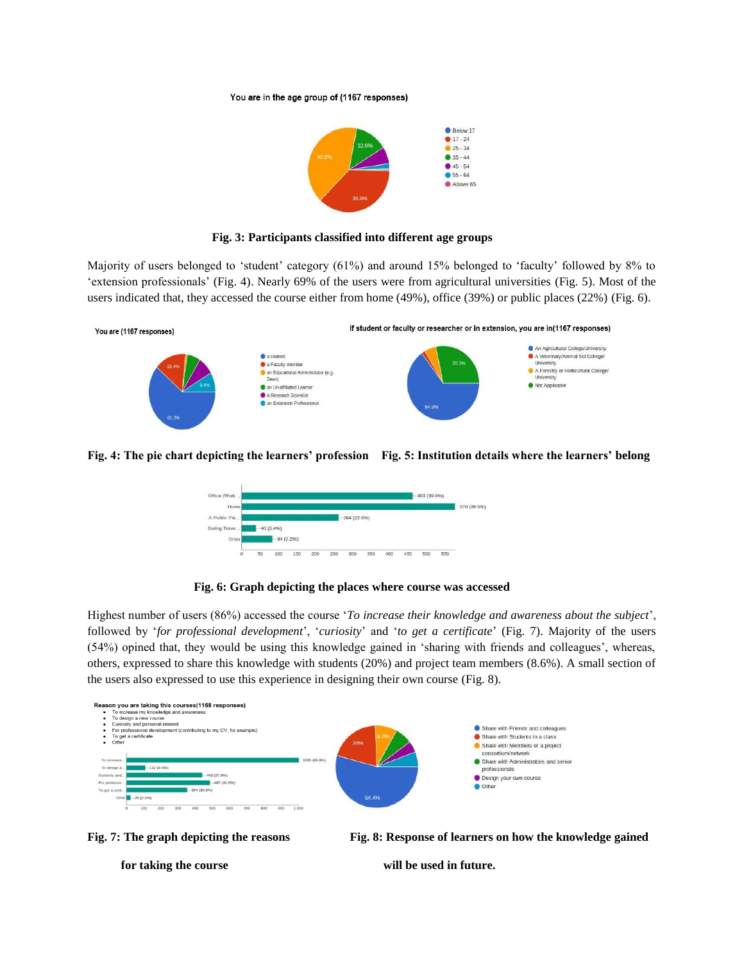#### You are in the age group of (1167 responses)



### **Fig. 3: Participants classified into different age groups**

Majority of users belonged to 'student' category (61%) and around 15% belonged to 'faculty' followed by 8% to 'extension professionals' (Fig. 4). Nearly 69% of the users were from agricultural universities (Fig. 5). Most of the users indicated that, they accessed the course either from home (49%), office (39%) or public places (22%) (Fig. 6).



### **Fig. 4: The pie chart depicting the learners' profession Fig. 5: Institution details where the learners' belong**



### **Fig. 6: Graph depicting the places where course was accessed**

Highest number of users (86%) accessed the course '*To increase their knowledge and awareness about the subject*', followed by '*for professional development*', '*curiosity*' and '*to get a certificate*' (Fig. 7). Majority of the users (54%) opined that, they would be using this knowledge gained in 'sharing with friends and colleagues', whereas, others, expressed to share this knowledge with students (20%) and project team members (8.6%). A small section of the users also expressed to use this experience in designing their own course (Fig. 8).





**Fig. 7: The graph depicting the reasons Fig. 8: Response of learners on how the knowledge gained** 

for taking the course **the course will be used in future.**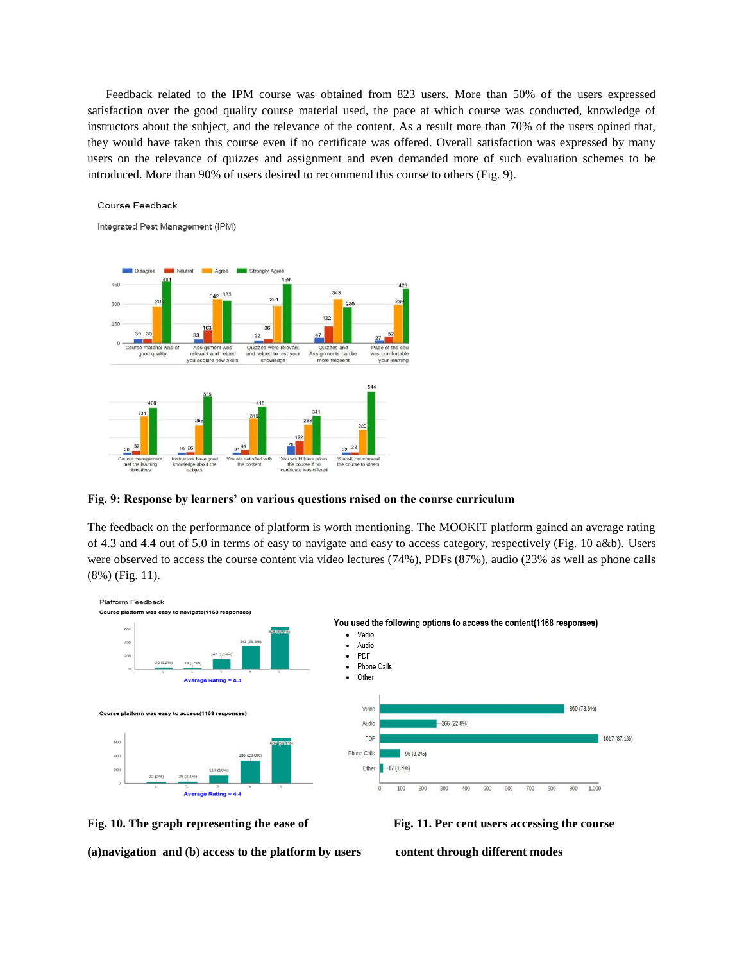Feedback related to the IPM course was obtained from 823 users. More than 50% of the users expressed satisfaction over the good quality course material used, the pace at which course was conducted, knowledge of instructors about the subject, and the relevance of the content. As a result more than 70% of the users opined that, they would have taken this course even if no certificate was offered. Overall satisfaction was expressed by many users on the relevance of quizzes and assignment and even demanded more of such evaluation schemes to be introduced. More than 90% of users desired to recommend this course to others (Fig. 9).

#### Course Feedback

Integrated Pest Management (IPM)



### **Fig. 9: Response by learners' on various questions raised on the course curriculum**

The feedback on the performance of platform is worth mentioning. The MOOKIT platform gained an average rating of 4.3 and 4.4 out of 5.0 in terms of easy to navigate and easy to access category, respectively (Fig. 10 a&b). Users were observed to access the course content via video lectures (74%), PDFs (87%), audio (23% as well as phone calls (8%) (Fig. 11).





**(a)navigation and (b) access to the platform by users content through different modes**